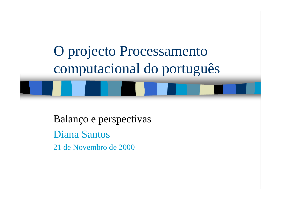

Balanço e perspectivas Diana Santos 21 de Novembro de 2000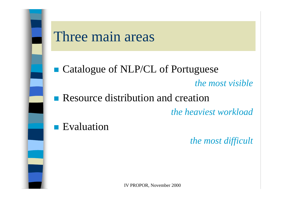

#### Three main areas

■ Catalogue of NLP/CL of Portuguese *the most visible*  $\mathcal{L}^{\text{max}}$ Resource distribution and creation

*the heaviest workload*

**Exaluation** 

*the most difficult*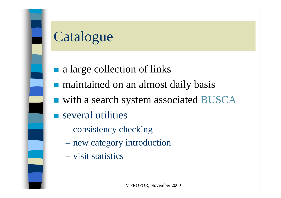

# Catalogue

- a large collection of links
- **n** maintained on an almost daily basis
- with a search system associated BUSCA
- **Several utilities** 
	- consistency checking
	- new category introduction
	- visit statistics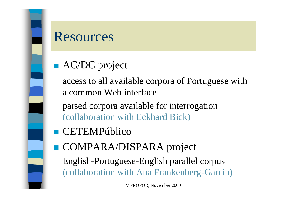

### Resources

■ AC/DC project

access to all available corpora of Portuguese with a common Web interface

parsed corpora available for interrogation (collaboration with Eckhard Bick)

- **CETEMPúblico**
- COMPARA/DISPARA project

English-Portuguese-English parallel corpus (collaboration with Ana Frankenberg-Garcia)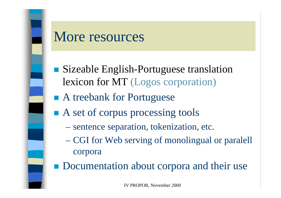

#### More resources

- Sizeable English-Portuguese translation lexicon for MT (Logos corporation)
- A treebank for Portuguese
- A set of corpus processing tools
	- sentence separation, tokenization, etc.
	- CGI for Web serving of monolingual or paralell corpora
- **Documentation about corpora and their use**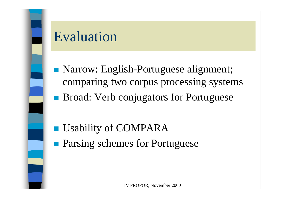

## Evaluation

- **Narrow: English-Portuguese alignment;** comparing two corpus processing systems
- **Broad: Verb conjugators for Portuguese**

- **Usability of COMPARA**
- **Parsing schemes for Portuguese**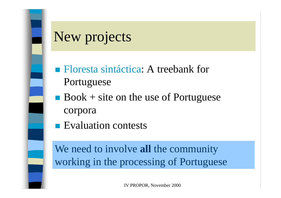

# New projects

- Floresta sintáctica: A treebank for Portuguese
- Book  $+$  site on the use of Portuguese corpora
- **Exaluation contests**

We need to involve **all** the community working in the processing of Portuguese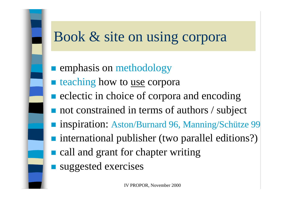## Book & site on using corpora

**Example 1 Emphasis on methodology Exercise teaching how to use corpora Exercise in choice of corpora and encoding**  not constrained in terms of authors / subject ■ inspiration: Aston/Burnard 96, Manning/Schütze 99 ■ international publisher (two parallel editions?) **call and grant for chapter writing** suggested exercises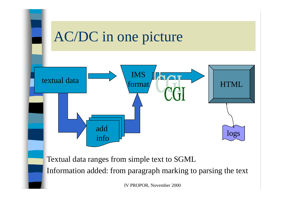